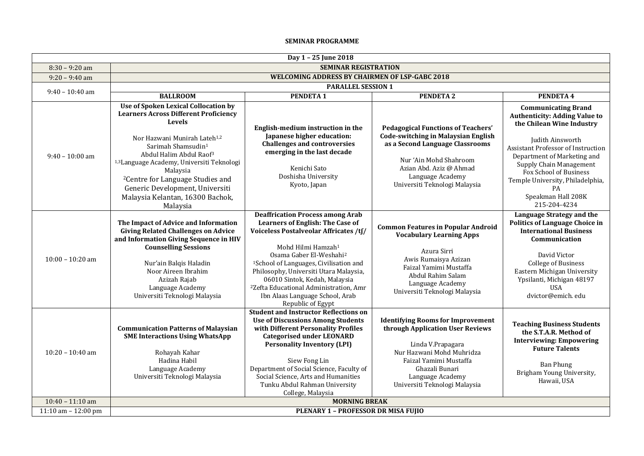## **SEMINAR PROGRAMME**

|                       |                                                                                                                                                                                                                                                                                                                                                                                                                                           | Day 1 - 25 June 2018                                                                                                                                                                                                                                                                                                                                                                                                                                 |                                                                                                                                                                                                                                      |                                                                                                                                                                                                                                                                                                                                      |  |
|-----------------------|-------------------------------------------------------------------------------------------------------------------------------------------------------------------------------------------------------------------------------------------------------------------------------------------------------------------------------------------------------------------------------------------------------------------------------------------|------------------------------------------------------------------------------------------------------------------------------------------------------------------------------------------------------------------------------------------------------------------------------------------------------------------------------------------------------------------------------------------------------------------------------------------------------|--------------------------------------------------------------------------------------------------------------------------------------------------------------------------------------------------------------------------------------|--------------------------------------------------------------------------------------------------------------------------------------------------------------------------------------------------------------------------------------------------------------------------------------------------------------------------------------|--|
| $8:30 - 9:20$ am      |                                                                                                                                                                                                                                                                                                                                                                                                                                           | <b>SEMINAR REGISTRATION</b>                                                                                                                                                                                                                                                                                                                                                                                                                          |                                                                                                                                                                                                                                      |                                                                                                                                                                                                                                                                                                                                      |  |
| $9:20 - 9:40$ am      |                                                                                                                                                                                                                                                                                                                                                                                                                                           | <b>WELCOMING ADDRESS BY CHAIRMEN OF LSP-GABC 2018</b>                                                                                                                                                                                                                                                                                                                                                                                                |                                                                                                                                                                                                                                      |                                                                                                                                                                                                                                                                                                                                      |  |
| $9:40 - 10:40$ am     | <b>PARALLEL SESSION 1</b>                                                                                                                                                                                                                                                                                                                                                                                                                 |                                                                                                                                                                                                                                                                                                                                                                                                                                                      |                                                                                                                                                                                                                                      |                                                                                                                                                                                                                                                                                                                                      |  |
|                       | <b>BALLROOM</b>                                                                                                                                                                                                                                                                                                                                                                                                                           | <b>PENDETA1</b>                                                                                                                                                                                                                                                                                                                                                                                                                                      | <b>PENDETA 2</b>                                                                                                                                                                                                                     | PENDETA 4                                                                                                                                                                                                                                                                                                                            |  |
| $9:40 - 10:00$ am     | <b>Use of Spoken Lexical Collocation by</b><br><b>Learners Across Different Proficiency</b><br><b>Levels</b><br>Nor Hazwani Munirah Lateh <sup>1,2</sup><br>Sarimah Shamsudin <sup>1</sup><br>Abdul Halim Abdul Raof <sup>3</sup><br><sup>1,3</sup> Language Academy, Universiti Teknologi<br>Malaysia<br><sup>2</sup> Centre for Language Studies and<br>Generic Development, Universiti<br>Malaysia Kelantan, 16300 Bachok,<br>Malaysia | English-medium instruction in the<br>Japanese higher education:<br><b>Challenges and controversies</b><br>emerging in the last decade<br>Kenichi Sato<br>Doshisha University<br>Kyoto, Japan                                                                                                                                                                                                                                                         | <b>Pedagogical Functions of Teachers'</b><br><b>Code-switching in Malaysian English</b><br>as a Second Language Classrooms<br>Nur 'Ain Mohd Shahroom<br>Azian Abd. Aziz @ Ahmad<br>Language Academy<br>Universiti Teknologi Malaysia | <b>Communicating Brand</b><br><b>Authenticity: Adding Value to</b><br>the Chilean Wine Industry<br>Judith Ainsworth<br><b>Assistant Professor of Instruction</b><br>Department of Marketing and<br>Supply Chain Management<br>Fox School of Business<br>Temple University, Philadelphia,<br>PA<br>Speakman Hall 208K<br>215-204-4234 |  |
| $10:00 - 10:20$ am    | The Impact of Advice and Information<br><b>Giving Related Challenges on Advice</b><br>and Information Giving Sequence in HIV<br><b>Counselling Sessions</b><br>Nur'ain Balqis Haladin<br>Noor Aireen Ibrahim<br>Azizah Rajab<br>Language Academy<br>Universiti Teknologi Malaysia                                                                                                                                                         | <b>Deaffrication Process among Arab</b><br><b>Learners of English: The Case of</b><br>Voiceless Postalveolar Affricates /tf/<br>Mohd Hilmi Hamzah <sup>1</sup><br>Osama Gaber El-Weshahi <sup>2</sup><br><sup>1</sup> School of Languages, Civilisation and<br>Philosophy, Universiti Utara Malaysia,<br>06010 Sintok, Kedah, Malaysia<br><sup>2</sup> Zefta Educational Administration, Amr<br>Ibn Alaas Language School, Arab<br>Republic of Egypt | <b>Common Features in Popular Android</b><br><b>Vocabulary Learning Apps</b><br>Azura Sirri<br>Awis Rumaisya Azizan<br>Faizal Yamimi Mustaffa<br>Abdul Rahim Salam<br>Language Academy<br>Universiti Teknologi Malaysia              | Language Strategy and the<br><b>Politics of Language Choice in</b><br><b>International Business</b><br>Communication<br>David Victor<br><b>College of Business</b><br>Eastern Michigan University<br>Ypsilanti, Michigan 48197<br><b>USA</b><br>dvictor@emich.edu                                                                    |  |
| $10:20 - 10:40$ am    | <b>Communication Patterns of Malaysian</b><br><b>SME Interactions Using WhatsApp</b><br>Rohayah Kahar<br>Hadina Habil<br>Language Academy<br>Universiti Teknologi Malaysia                                                                                                                                                                                                                                                                | <b>Student and Instructor Reflections on</b><br><b>Use of Discussions Among Students</b><br>with Different Personality Profiles<br><b>Categorised under LEONARD</b><br><b>Personality Inventory (LPI)</b><br>Siew Fong Lin<br>Department of Social Science, Faculty of<br>Social Science, Arts and Humanities<br>Tunku Abdul Rahman University<br>College, Malaysia                                                                                  | <b>Identifying Rooms for Improvement</b><br>through Application User Reviews<br>Linda V.Prapagara<br>Nur Hazwani Mohd Muhridza<br>Faizal Yamimi Mustaffa<br>Ghazali Bunari<br>Language Academy<br>Universiti Teknologi Malaysia      | <b>Teaching Business Students</b><br>the S.T.A.R. Method of<br><b>Interviewing: Empowering</b><br><b>Future Talents</b><br><b>Ban Phung</b><br>Brigham Young University,<br>Hawaii, USA                                                                                                                                              |  |
| $10:40 - 11:10$ am    |                                                                                                                                                                                                                                                                                                                                                                                                                                           | <b>MORNING BREAK</b>                                                                                                                                                                                                                                                                                                                                                                                                                                 |                                                                                                                                                                                                                                      |                                                                                                                                                                                                                                                                                                                                      |  |
| 11:10 am $- 12:00$ pm |                                                                                                                                                                                                                                                                                                                                                                                                                                           | PLENARY 1 - PROFESSOR DR MISA FUJIO                                                                                                                                                                                                                                                                                                                                                                                                                  |                                                                                                                                                                                                                                      |                                                                                                                                                                                                                                                                                                                                      |  |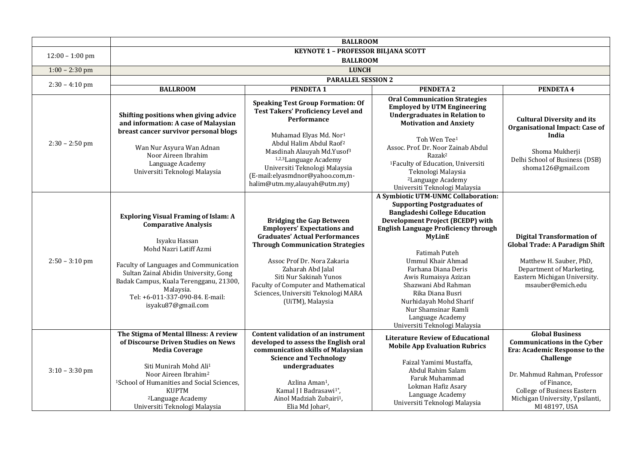|                   |                                                                                                                                                                                                                                                                                                                              | <b>BALLROOM</b>                                                                                                                                                                                                                                                                                                                                                      |                                                                                                                                                                                                                                                                                                                                                                                                                                                                                  |                                                                                                                                                                                                                                                     |
|-------------------|------------------------------------------------------------------------------------------------------------------------------------------------------------------------------------------------------------------------------------------------------------------------------------------------------------------------------|----------------------------------------------------------------------------------------------------------------------------------------------------------------------------------------------------------------------------------------------------------------------------------------------------------------------------------------------------------------------|----------------------------------------------------------------------------------------------------------------------------------------------------------------------------------------------------------------------------------------------------------------------------------------------------------------------------------------------------------------------------------------------------------------------------------------------------------------------------------|-----------------------------------------------------------------------------------------------------------------------------------------------------------------------------------------------------------------------------------------------------|
| $12:00 - 1:00$ pm |                                                                                                                                                                                                                                                                                                                              | <b>KEYNOTE 1 - PROFESSOR BILJANA SCOTT</b>                                                                                                                                                                                                                                                                                                                           |                                                                                                                                                                                                                                                                                                                                                                                                                                                                                  |                                                                                                                                                                                                                                                     |
|                   |                                                                                                                                                                                                                                                                                                                              | <b>BALLROOM</b>                                                                                                                                                                                                                                                                                                                                                      |                                                                                                                                                                                                                                                                                                                                                                                                                                                                                  |                                                                                                                                                                                                                                                     |
| $1:00 - 2:30$ pm  |                                                                                                                                                                                                                                                                                                                              | <b>LUNCH</b>                                                                                                                                                                                                                                                                                                                                                         |                                                                                                                                                                                                                                                                                                                                                                                                                                                                                  |                                                                                                                                                                                                                                                     |
| $2:30 - 4:10$ pm  |                                                                                                                                                                                                                                                                                                                              | <b>PARALLEL SESSION 2</b>                                                                                                                                                                                                                                                                                                                                            |                                                                                                                                                                                                                                                                                                                                                                                                                                                                                  |                                                                                                                                                                                                                                                     |
|                   | <b>BALLROOM</b>                                                                                                                                                                                                                                                                                                              | <b>PENDETA1</b>                                                                                                                                                                                                                                                                                                                                                      | <b>PENDETA 2</b>                                                                                                                                                                                                                                                                                                                                                                                                                                                                 | PENDETA 4                                                                                                                                                                                                                                           |
| $2:30 - 2:50$ pm  | Shifting positions when giving advice<br>and information: A case of Malaysian<br>breast cancer survivor personal blogs<br>Wan Nur Asyura Wan Adnan<br>Noor Aireen Ibrahim<br>Language Academy<br>Universiti Teknologi Malaysia                                                                                               | <b>Speaking Test Group Formation: Of</b><br><b>Test Takers' Proficiency Level and</b><br>Performance<br>Muhamad Elyas Md. Nor <sup>1</sup><br>Abdul Halim Abdul Raof <sup>2</sup><br>Masdinah Alauyah Md.Yusof <sup>3</sup><br><sup>1,2,3</sup> Language Academy<br>Universiti Teknologi Malaysia<br>(E-mail:elyasmdnor@yahoo.com,m-<br>halim@utm.my,alauyah@utm.my) | <b>Oral Communication Strategies</b><br><b>Employed by UTM Engineering</b><br><b>Undergraduates in Relation to</b><br><b>Motivation and Anxiety</b><br>Toh Wen Tee <sup>1</sup><br>Assoc. Prof. Dr. Noor Zainab Abdul<br>Razak <sup>2</sup><br><sup>1</sup> Faculty of Education, Universiti<br>Teknologi Malaysia<br><sup>2</sup> Language Academy<br>Universiti Teknologi Malaysia                                                                                             | <b>Cultural Diversity and its</b><br>Organisational Impact: Case of<br>India<br>Shoma Mukherji<br>Delhi School of Business (DSB)<br>shoma126@gmail.com                                                                                              |
| $2:50 - 3:10$ pm  | <b>Exploring Visual Framing of Islam: A</b><br><b>Comparative Analysis</b><br>Isyaku Hassan<br>Mohd Nazri Latiff Azmi<br>Faculty of Languages and Communication<br>Sultan Zainal Abidin University, Gong<br>Badak Campus, Kuala Terengganu, 21300,<br>Malaysia.<br>Tel: +6-011-337-090-84. E-mail:<br>isyaku87@gmail.com     | <b>Bridging the Gap Between</b><br><b>Employers' Expectations and</b><br><b>Graduates' Actual Performances</b><br><b>Through Communication Strategies</b><br>Assoc Prof Dr. Nora Zakaria<br>Zaharah Abd Jalal<br>Siti Nur Sakinah Yunos<br>Faculty of Computer and Mathematical<br>Sciences, Universiti Teknologi MARA<br>(UiTM), Malaysia                           | A Symbiotic UTM-UNMC Collaboration:<br><b>Supporting Postgraduates of</b><br><b>Bangladeshi College Education</b><br><b>Development Project (BCEDP) with</b><br><b>English Language Proficiency through</b><br><b>MyLinE</b><br><b>Fatimah Puteh</b><br><b>Ummul Khair Ahmad</b><br>Farhana Diana Deris<br>Awis Rumaisya Azizan<br>Shazwani Abd Rahman<br>Rika Diana Busri<br>Nurhidayah Mohd Sharif<br>Nur Shamsinar Ramli<br>Language Academy<br>Universiti Teknologi Malaysia | <b>Digital Transformation of</b><br><b>Global Trade: A Paradigm Shift</b><br>Matthew H. Sauber, PhD,<br>Department of Marketing,<br>Eastern Michigan University.<br>msauber@emich.edu                                                               |
| $3:10 - 3:30$ pm  | The Stigma of Mental Illness: A review<br>of Discourse Driven Studies on News<br><b>Media Coverage</b><br>Siti Munirah Mohd Ali <sup>1</sup><br>Noor Aireen Ibrahim <sup>2</sup><br><sup>1</sup> School of Humanities and Social Sciences,<br><b>KUPTM</b><br><sup>2</sup> Language Academy<br>Universiti Teknologi Malaysia | Content validation of an instrument<br>developed to assess the English oral<br>communication skills of Malaysian<br><b>Science and Technology</b><br>undergraduates<br>Azlina Aman <sup>1</sup> ,<br>Kamal J I Badrasawi <sup>1*</sup> ,<br>Ainol Madziah Zubairi <sup>1</sup> ,<br>Elia Md Johar <sup>2</sup> ,                                                     | <b>Literature Review of Educational</b><br><b>Mobile App Evaluation Rubrics</b><br>Faizal Yamimi Mustaffa,<br>Abdul Rahim Salam<br>Faruk Muhammad<br>Lokman Hafiz Asary<br>Language Academy<br>Universiti Teknologi Malaysia                                                                                                                                                                                                                                                     | <b>Global Business</b><br><b>Communications in the Cyber</b><br>Era: Academic Response to the<br>Challenge<br>Dr. Mahmud Rahman, Professor<br>of Finance,<br><b>College of Business Eastern</b><br>Michigan University, Ypsilanti,<br>MI 48197, USA |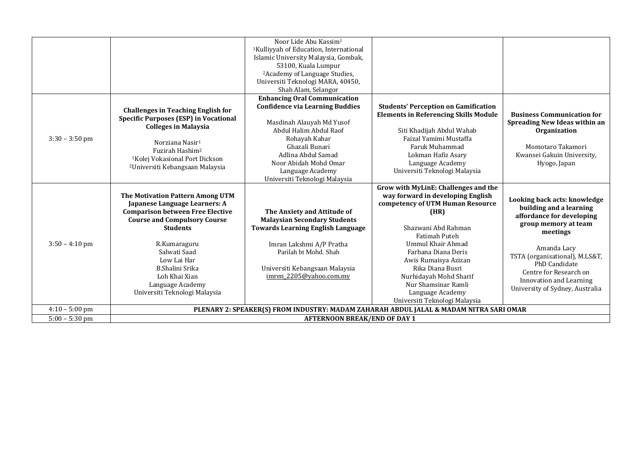|                  |                                                                                                                                                                                                                                                                                                                | Noor Lide Abu Kassim <sup>1</sup><br><sup>1</sup> Kulliyyah of Education, International<br>Islamic University Malaysia, Gombak,<br>53100, Kuala Lumpur<br><sup>2</sup> Academy of Language Studies,<br>Universiti Teknologi MARA, 40450,<br>Shah Alam, Selangor             |                                                                                                                                                                                                                                                                                                                                                             |                                                                                                                                                                                                                                                                                    |
|------------------|----------------------------------------------------------------------------------------------------------------------------------------------------------------------------------------------------------------------------------------------------------------------------------------------------------------|-----------------------------------------------------------------------------------------------------------------------------------------------------------------------------------------------------------------------------------------------------------------------------|-------------------------------------------------------------------------------------------------------------------------------------------------------------------------------------------------------------------------------------------------------------------------------------------------------------------------------------------------------------|------------------------------------------------------------------------------------------------------------------------------------------------------------------------------------------------------------------------------------------------------------------------------------|
| $3:30 - 3:50$ pm | <b>Challenges in Teaching English for</b><br><b>Specific Purposes (ESP) in Vocational</b><br><b>Colleges in Malaysia</b><br>Norziana Nasir <sup>1</sup><br>Fuzirah Hashim <sup>2</sup><br><sup>1</sup> Kolej Vokasional Port Dickson<br><sup>2</sup> Universiti Kebangsaan Malaysia                            | <b>Enhancing Oral Communication</b><br><b>Confidence via Learning Buddies</b><br>Masdinah Alauyah Md Yusof<br>Abdul Halim Abdul Raof<br>Rohayah Kahar<br>Ghazali Bunari<br>Adlina Abdul Samad<br>Noor Abidah Mohd Omar<br>Language Academy<br>Universiti Teknologi Malaysia | <b>Students' Perception on Gamification</b><br><b>Elements in Referencing Skills Module</b><br>Siti Khadijah Abdul Wahab<br>Faizal Yamimi Mustaffa<br>Faruk Muhammad<br>Lokman Hafiz Asary<br>Language Academy<br>Universiti Teknologi Malaysia                                                                                                             | <b>Business Communication for</b><br>Spreading New Ideas within an<br>Organization<br>Momotaro Takamori<br>Kwansei Gakuin University,<br>Hyogo, Japan                                                                                                                              |
| $3:50 - 4:10$ pm | The Motivation Pattern Among UTM<br>Japanese Language Learners: A<br><b>Comparison between Free Elective</b><br><b>Course and Compulsory Course</b><br><b>Students</b><br>R.Kumaraguru<br>Salwati Saad<br>Low Lai Har<br>B.Shalini Srika<br>Loh Khai Xian<br>Language Academy<br>Universiti Teknologi Malaysia | The Anxiety and Attitude of<br><b>Malaysian Secondary Students</b><br><b>Towards Learning English Language</b><br>Imran Lakshmi A/P Pratha<br>Parilah bt Mohd. Shah<br>Universiti Kebangsaan Malaysia<br>imren 2205@yahoo.com.my                                            | Grow with MyLinE: Challenges and the<br>way forward in developing English<br>competency of UTM Human Resource<br>(HR)<br>Shazwani Abd Rahman<br>Fatimah Puteh<br>Ummul Khair Ahmad<br>Farhana Diana Deris<br>Awis Rumaisya Azizan<br>Rika Diana Busri<br>Nurhidayah Mohd Sharif<br>Nur Shamsinar Ramli<br>Language Academy<br>Universiti Teknologi Malaysia | Looking back acts: knowledge<br>building and a learning<br>affordance for developing<br>group memory at team<br>meetings<br>Amanda Lacy<br>TSTA (organisational), M.LS&T,<br>PhD Candidate<br>Centre for Research on<br>Innovation and Learning<br>University of Sydney, Australia |
| $4:10 - 5:00$ pm |                                                                                                                                                                                                                                                                                                                |                                                                                                                                                                                                                                                                             | PLENARY 2: SPEAKER(S) FROM INDUSTRY: MADAM ZAHARAH ABDUL JALAL & MADAM NITRA SARI OMAR                                                                                                                                                                                                                                                                      |                                                                                                                                                                                                                                                                                    |
| $5:00 - 5:30$ pm |                                                                                                                                                                                                                                                                                                                | <b>AFTERNOON BREAK/END OF DAY 1</b>                                                                                                                                                                                                                                         |                                                                                                                                                                                                                                                                                                                                                             |                                                                                                                                                                                                                                                                                    |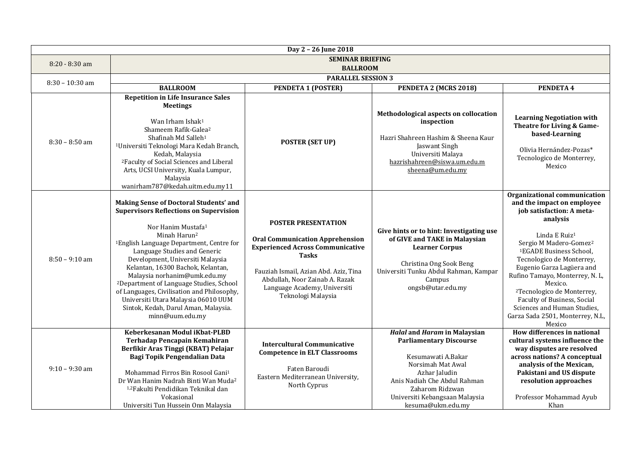|                   |                                                                                                                                                                                                                                                                                                                                                                                                                                                                                                                                                                      | Day 2 - 26 June 2018                                                                                                                                                                                                                                             |                                                                                                                                                                                                                                             |                                                                                                                                                                                                                                                                                                                                                                                                                                                                             |  |
|-------------------|----------------------------------------------------------------------------------------------------------------------------------------------------------------------------------------------------------------------------------------------------------------------------------------------------------------------------------------------------------------------------------------------------------------------------------------------------------------------------------------------------------------------------------------------------------------------|------------------------------------------------------------------------------------------------------------------------------------------------------------------------------------------------------------------------------------------------------------------|---------------------------------------------------------------------------------------------------------------------------------------------------------------------------------------------------------------------------------------------|-----------------------------------------------------------------------------------------------------------------------------------------------------------------------------------------------------------------------------------------------------------------------------------------------------------------------------------------------------------------------------------------------------------------------------------------------------------------------------|--|
| 8:20 - 8:30 am    |                                                                                                                                                                                                                                                                                                                                                                                                                                                                                                                                                                      | <b>SEMINAR BRIEFING</b>                                                                                                                                                                                                                                          |                                                                                                                                                                                                                                             |                                                                                                                                                                                                                                                                                                                                                                                                                                                                             |  |
|                   | <b>BALLROOM</b>                                                                                                                                                                                                                                                                                                                                                                                                                                                                                                                                                      |                                                                                                                                                                                                                                                                  |                                                                                                                                                                                                                                             |                                                                                                                                                                                                                                                                                                                                                                                                                                                                             |  |
| $8:30 - 10:30$ am |                                                                                                                                                                                                                                                                                                                                                                                                                                                                                                                                                                      | <b>PARALLEL SESSION 3</b>                                                                                                                                                                                                                                        |                                                                                                                                                                                                                                             |                                                                                                                                                                                                                                                                                                                                                                                                                                                                             |  |
|                   | <b>BALLROOM</b>                                                                                                                                                                                                                                                                                                                                                                                                                                                                                                                                                      | <b>PENDETA 1 (POSTER)</b>                                                                                                                                                                                                                                        | PENDETA 2 (MCRS 2018)                                                                                                                                                                                                                       | PENDETA 4                                                                                                                                                                                                                                                                                                                                                                                                                                                                   |  |
| $8:30 - 8:50$ am  | <b>Repetition in Life Insurance Sales</b><br><b>Meetings</b><br>Wan Irham Ishak <sup>1</sup><br>Shameem Rafik-Galea <sup>2</sup><br>Shafinah Md Salleh <sup>1</sup><br><sup>1</sup> Universiti Teknologi Mara Kedah Branch,<br>Kedah, Malaysia<br><sup>2</sup> Faculty of Social Sciences and Liberal<br>Arts, UCSI University, Kuala Lumpur,<br>Malaysia<br>wanirham787@kedah.uitm.edu.my11                                                                                                                                                                         | <b>POSTER (SET UP)</b>                                                                                                                                                                                                                                           | Methodological aspects on collocation<br>inspection<br>Hazri Shahreen Hashim & Sheena Kaur<br>Jaswant Singh<br>Universiti Malaya<br>hazrishahreen@siswa.um.edu.m<br>sheena@um.edu.my                                                        | <b>Learning Negotiation with</b><br>Theatre for Living & Game-<br>based-Learning<br>Olivia Hernández-Pozas*<br>Tecnologico de Monterrey,<br>Mexico                                                                                                                                                                                                                                                                                                                          |  |
| $8:50 - 9:10$ am  | <b>Making Sense of Doctoral Students' and</b><br><b>Supervisors Reflections on Supervision</b><br>Nor Hanim Mustafa <sup>1</sup><br>Minah Harun <sup>2</sup><br><sup>1</sup> English Language Department, Centre for<br>Language Studies and Generic<br>Development, Universiti Malaysia<br>Kelantan, 16300 Bachok, Kelantan,<br>Malaysia norhanim@umk.edu.my<br><sup>2</sup> Department of Language Studies, School<br>of Languages, Civilisation and Philosophy,<br>Universiti Utara Malaysia 06010 UUM<br>Sintok, Kedah, Darul Aman, Malaysia.<br>minn@uum.edu.my | <b>POSTER PRESENTATION</b><br><b>Oral Communication Apprehension</b><br><b>Experienced Across Communicative</b><br><b>Tasks</b><br>Fauziah Ismail, Azian Abd. Aziz, Tina<br>Abdullah, Noor Zainab A. Razak<br>Language Academy, Universiti<br>Teknologi Malaysia | Give hints or to hint: Investigating use<br>of GIVE and TAKE in Malaysian<br><b>Learner Corpus</b><br>Christina Ong Sook Beng<br>Universiti Tunku Abdul Rahman, Kampar<br>Campus<br>ongsb@utar.edu.my                                       | Organizational communication<br>and the impact on employee<br>job satisfaction: A meta-<br>analysis<br>Linda E Ruiz <sup>1</sup><br>Sergio M Madero-Gomez <sup>2</sup><br><sup>1</sup> EGADE Business School,<br>Tecnologico de Monterrey,<br>Eugenio Garza Lagüera and<br>Rufino Tamayo, Monterrey, N. L,<br>Mexico.<br><sup>2</sup> Tecnologico de Monterrey,<br>Faculty of Business, Social<br>Sciences and Human Studies,<br>Garza Sada 2501, Monterrey, N.L,<br>Mexico |  |
| $9:10 - 9:30$ am  | Keberkesanan Modul iKbat-PLBD<br>Terhadap Pencapain Kemahiran<br>Berfikir Aras Tinggi (KBAT) Pelajar<br>Bagi Topik Pengendalian Data<br>Mohammad Firros Bin Rosool Gani <sup>1</sup><br>Dr Wan Hanim Nadrah Binti Wan Muda <sup>2</sup><br><sup>1,2</sup> Fakulti Pendidikan Teknikal dan<br>Vokasional<br>Universiti Tun Hussein Onn Malaysia                                                                                                                                                                                                                       | <b>Intercultural Communicative</b><br><b>Competence in ELT Classrooms</b><br>Faten Baroudi<br>Eastern Mediterranean University,<br>North Cyprus                                                                                                                  | <b>Halal and Haram in Malaysian</b><br><b>Parliamentary Discourse</b><br>Kesumawati A.Bakar<br>Norsimah Mat Awal<br>Azhar Jaludin<br>Anis Nadiah Che Abdul Rahman<br>Zaharom Ridzwan<br>Universiti Kebangsaan Malaysia<br>kesuma@ukm.edu.my | How differences in national<br>cultural systems influence the<br>way disputes are resolved<br>across nations? A conceptual<br>analysis of the Mexican,<br>Pakistani and US dispute<br>resolution approaches<br>Professor Mohammad Ayub<br>Khan                                                                                                                                                                                                                              |  |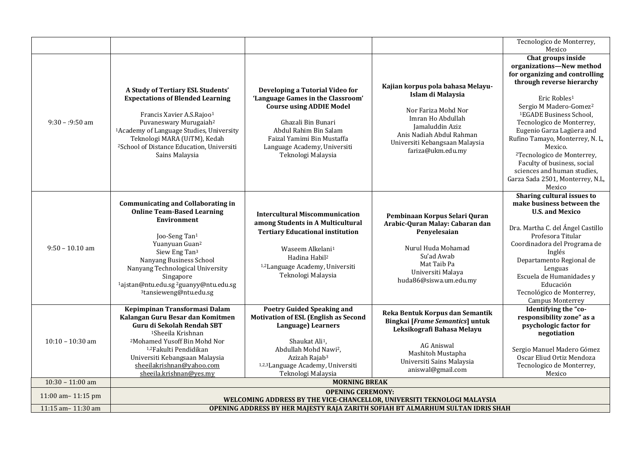|                    |                                                                                                                                                                                                                                                                                                                                                                          |                                                                                                                                                                                                                                                                   |                                                                                                                                                                                                          | Tecnologico de Monterrey,<br>Mexico                                                                                                                                                                                                                                                                                                                                                                                                                                                  |
|--------------------|--------------------------------------------------------------------------------------------------------------------------------------------------------------------------------------------------------------------------------------------------------------------------------------------------------------------------------------------------------------------------|-------------------------------------------------------------------------------------------------------------------------------------------------------------------------------------------------------------------------------------------------------------------|----------------------------------------------------------------------------------------------------------------------------------------------------------------------------------------------------------|--------------------------------------------------------------------------------------------------------------------------------------------------------------------------------------------------------------------------------------------------------------------------------------------------------------------------------------------------------------------------------------------------------------------------------------------------------------------------------------|
| $9:30 - 9:50$ am   | A Study of Tertiary ESL Students'<br><b>Expectations of Blended Learning</b><br>Francis Xavier A.S.Rajoo <sup>1</sup><br>Puvaneswary Murugaiah <sup>2</sup><br><sup>1</sup> Academy of Language Studies, University<br>Teknologi MARA (UiTM), Kedah<br><sup>2</sup> School of Distance Education, Universiti<br>Sains Malaysia                                           | Developing a Tutorial Video for<br>'Language Games in the Classroom'<br><b>Course using ADDIE Model</b><br>Ghazali Bin Bunari<br>Abdul Rahim Bin Salam<br>Faizal Yamimi Bin Mustaffa<br>Language Academy, Universiti<br>Teknologi Malaysia                        | Kajian korpus pola bahasa Melayu-<br>Islam di Malaysia<br>Nor Fariza Mohd Nor<br>Imran Ho Abdullah<br>Jamaluddin Aziz<br>Anis Nadiah Abdul Rahman<br>Universiti Kebangsaan Malaysia<br>fariza@ukm.edu.my | Chat groups inside<br>organizations-New method<br>for organizing and controlling<br>through reverse hierarchy<br>Eric Robles <sup>1</sup><br>Sergio M Madero-Gomez <sup>2</sup><br><sup>1</sup> EGADE Business School,<br>Tecnologico de Monterrey,<br>Eugenio Garza Lagüera and<br>Rufino Tamayo, Monterrey, N. L,<br>Mexico.<br><sup>2</sup> Tecnologico de Monterrey,<br>Faculty of business, social<br>sciences and human studies,<br>Garza Sada 2501, Monterrey, N.L,<br>Mexico |
| $9:50 - 10.10$ am  | <b>Communicating and Collaborating in</b><br><b>Online Team-Based Learning</b><br>Environment<br>Joo-Seng Tan <sup>1</sup><br>Yuanyuan Guan <sup>2</sup><br>Siew Eng Tan <sup>3</sup><br>Nanyang Business School<br>Nanyang Technological University<br>Singapore<br><sup>1</sup> ajstan@ntu.edu.sg <sup>2</sup> guanyy@ntu.edu.sg<br><sup>3</sup> tansieweng@ntu.edu.sg | <b>Intercultural Miscommunication</b><br>among Students in A Multicultural<br><b>Tertiary Educational institution</b><br>Waseem Alkelani <sup>1</sup><br>Hadina Habil <sup>2</sup><br><sup>1,2</sup> Language Academy, Universiti<br>Teknologi Malaysia           | Pembinaan Korpus Selari Quran<br>Arabic-Quran Malay: Cabaran dan<br>Penyelesaian<br>Nurul Huda Mohamad<br>Su'ad Awab<br>Mat Taib Pa<br>Universiti Malaya<br>huda86@siswa.um.edu.my                       | Sharing cultural issues to<br>make business between the<br><b>U.S. and Mexico</b><br>Dra. Martha C. del Ángel Castillo<br>Profesora Titular<br>Coordinadora del Programa de<br>Inglés<br>Departamento Regional de<br>Lenguas<br>Escuela de Humanidades y<br>Educación<br>Tecnológico de Monterrey,<br><b>Campus Monterrey</b>                                                                                                                                                        |
| $10:10 - 10:30$ am | Kepimpinan Transformasi Dalam<br>Kalangan Guru Besar dan Komitmen<br>Guru di Sekolah Rendah SBT<br><sup>1</sup> Sheeila Krishnan<br><sup>2</sup> Mohamed Yusoff Bin Mohd Nor<br><sup>1,2</sup> Fakulti Pendidikan<br>Universiti Kebangsaan Malaysia<br>sheeilakrishnan@yahoo.com<br>sheeila.krishnan@yes.my                                                              | <b>Poetry Guided Speaking and</b><br><b>Motivation of ESL (English as Second</b><br>Language) Learners<br>Shaukat Ali <sup>1</sup> ,<br>Abdullah Mohd Nawi <sup>2</sup> ,<br>Azizah Rajab <sup>3</sup><br>1,2,3Language Academy, Universiti<br>Teknologi Malaysia | Reka Bentuk Korpus dan Semantik<br>Bingkai [Frame Semantics] untuk<br>Leksikografi Bahasa Melayu<br><b>AG Aniswal</b><br>Mashitoh Mustapha<br>Universiti Sains Malaysia<br>aniswal@gmail.com             | Identifying the "co-<br>responsibility zone" as a<br>psychologic factor for<br>negotiation<br>Sergio Manuel Madero Gómez<br>Oscar Eliud Ortiz Mendoza<br>Tecnologico de Monterrey,<br>Mexico                                                                                                                                                                                                                                                                                         |
| $10:30 - 11:00$ am |                                                                                                                                                                                                                                                                                                                                                                          | <b>MORNING BREAK</b>                                                                                                                                                                                                                                              |                                                                                                                                                                                                          |                                                                                                                                                                                                                                                                                                                                                                                                                                                                                      |
| 11:00 am-11:15 pm  |                                                                                                                                                                                                                                                                                                                                                                          | <b>OPENING CEREMONY:</b>                                                                                                                                                                                                                                          |                                                                                                                                                                                                          |                                                                                                                                                                                                                                                                                                                                                                                                                                                                                      |
| 11:15 am-11:30 am  |                                                                                                                                                                                                                                                                                                                                                                          | WELCOMING ADDRESS BY THE VICE-CHANCELLOR, UNIVERSITI TEKNOLOGI MALAYSIA                                                                                                                                                                                           |                                                                                                                                                                                                          |                                                                                                                                                                                                                                                                                                                                                                                                                                                                                      |
|                    |                                                                                                                                                                                                                                                                                                                                                                          |                                                                                                                                                                                                                                                                   | OPENING ADDRESS BY HER MAJESTY RAJA ZARITH SOFIAH BT ALMARHUM SULTAN IDRIS SHAH                                                                                                                          |                                                                                                                                                                                                                                                                                                                                                                                                                                                                                      |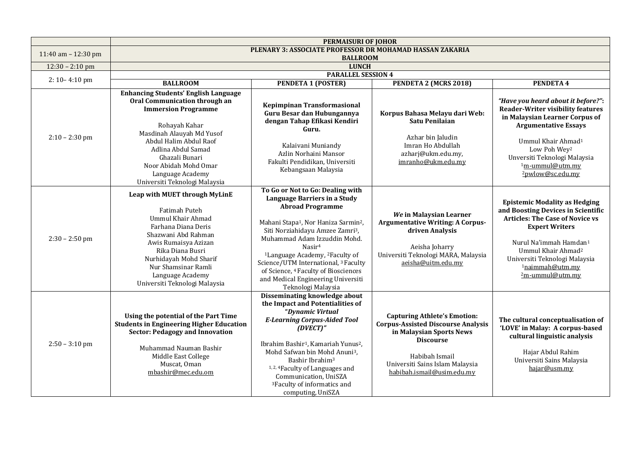|                     |                                                                                                                                                                                                                                                                                                          | <b>PERMAISURI OF JOHOR</b>                                                                                                                                                                                                                                                                                                                                                                                                                                                                    |                                                                                                                                                                                                                     |                                                                                                                                                                                                                                                                                                  |
|---------------------|----------------------------------------------------------------------------------------------------------------------------------------------------------------------------------------------------------------------------------------------------------------------------------------------------------|-----------------------------------------------------------------------------------------------------------------------------------------------------------------------------------------------------------------------------------------------------------------------------------------------------------------------------------------------------------------------------------------------------------------------------------------------------------------------------------------------|---------------------------------------------------------------------------------------------------------------------------------------------------------------------------------------------------------------------|--------------------------------------------------------------------------------------------------------------------------------------------------------------------------------------------------------------------------------------------------------------------------------------------------|
| 11:40 am - 12:30 pm |                                                                                                                                                                                                                                                                                                          | PLENARY 3: ASSOCIATE PROFESSOR DR MOHAMAD HASSAN ZAKARIA<br><b>BALLROOM</b>                                                                                                                                                                                                                                                                                                                                                                                                                   |                                                                                                                                                                                                                     |                                                                                                                                                                                                                                                                                                  |
| $12:30 - 2:10$ pm   | <b>LUNCH</b>                                                                                                                                                                                                                                                                                             |                                                                                                                                                                                                                                                                                                                                                                                                                                                                                               |                                                                                                                                                                                                                     |                                                                                                                                                                                                                                                                                                  |
|                     | <b>PARALLEL SESSION 4</b>                                                                                                                                                                                                                                                                                |                                                                                                                                                                                                                                                                                                                                                                                                                                                                                               |                                                                                                                                                                                                                     |                                                                                                                                                                                                                                                                                                  |
| $2:10-4:10$ pm      | <b>BALLROOM</b>                                                                                                                                                                                                                                                                                          | <b>PENDETA 1 (POSTER)</b>                                                                                                                                                                                                                                                                                                                                                                                                                                                                     | PENDETA 2 (MCRS 2018)                                                                                                                                                                                               | PENDETA 4                                                                                                                                                                                                                                                                                        |
| $2:10 - 2:30$ pm    | <b>Enhancing Students' English Language</b><br>Oral Communication through an<br><b>Immersion Programme</b><br>Rohayah Kahar<br>Masdinah Alauyah Md Yusof<br>Abdul Halim Abdul Raof<br>Adlina Abdul Samad<br>Ghazali Bunari<br>Noor Abidah Mohd Omar<br>Language Academy<br>Universiti Teknologi Malaysia | Kepimpinan Transformasional<br>Guru Besar dan Hubungannya<br>dengan Tahap Efikasi Kendiri<br>Guru.<br>Kalaivani Muniandy<br>Azlin Norhaini Mansor<br>Fakulti Pendidikan, Universiti<br>Kebangsaan Malaysia                                                                                                                                                                                                                                                                                    | Korpus Bahasa Melayu dari Web:<br>Satu Penilaian<br>Azhar bin Jaludin<br>Imran Ho Abdullah<br>azharj@ukm.edu.my,<br>imranho@ukm.edu.my                                                                              | "Have you heard about it before?":<br><b>Reader-Writer visibility features</b><br>in Malaysian Learner Corpus of<br><b>Argumentative Essays</b><br>Ummul Khair Ahmad <sup>1</sup><br>Low Poh Wey <sup>2</sup><br>Unversiti Teknologi Malaysia<br><sup>1</sup> m-ummul@utm.mv<br>2pwlow@sc.edu.my |
| $2:30 - 2:50$ pm    | Leap with MUET through MyLinE<br>Fatimah Puteh<br><b>Ummul Khair Ahmad</b><br>Farhana Diana Deris<br>Shazwani Abd Rahman<br>Awis Rumaisya Azizan<br>Rika Diana Busri<br>Nurhidayah Mohd Sharif<br>Nur Shamsinar Ramli<br>Language Academy<br>Universiti Teknologi Malaysia                               | To Go or Not to Go: Dealing with<br>Language Barriers in a Study<br><b>Abroad Programme</b><br>Mahani Stapa <sup>1</sup> , Nor Haniza Sarmin <sup>2</sup> ,<br>Siti Norziahidayu Amzee Zamri <sup>3</sup> ,<br>Muhammad Adam Izzuddin Mohd.<br>Nasir <sup>4</sup><br><sup>1</sup> Language Academy, <sup>2</sup> Faculty of<br>Science/UTM International, <sup>3</sup> Faculty<br>of Science, <sup>4</sup> Faculty of Biosciences<br>and Medical Engineering Universiti<br>Teknologi Malaysia | We in Malaysian Learner<br><b>Argumentative Writing: A Corpus-</b><br>driven Analysis<br>Aeisha Joharry<br>Universiti Teknologi MARA, Malaysia<br>aeisha@uitm.edu.my                                                | <b>Epistemic Modality as Hedging</b><br>and Boosting Devices in Scientific<br><b>Articles: The Case of Novice vs</b><br><b>Expert Writers</b><br>Nurul Na'immah Hamdan <sup>1</sup><br>Ummul Khair Ahmad <sup>2</sup><br>Universiti Teknologi Malaysia<br>1naimmah@utm.mv<br>2m-ummul@utm.my     |
| $2:50 - 3:10$ pm    | Using the potential of the Part Time<br><b>Students in Engineering Higher Education</b><br><b>Sector: Pedagogy and Innovation</b><br>Muhammad Nauman Bashir<br>Middle East College<br>Muscat, Oman<br>mbashir@mec.edu.om                                                                                 | Disseminating knowledge about<br>the Impact and Potentialities of<br>"Dynamic Virtual<br><b>E-Learning Corpus-Aided Tool</b><br>(DVECT)"<br>Ibrahim Bashir <sup>1</sup> , Kamariah Yunus <sup>2</sup> ,<br>Mohd Safwan bin Mohd Anuni <sup>3</sup> ,<br>Bashir Ibrahim <sup>3</sup><br><sup>1, 2, 4</sup> Faculty of Languages and<br>Communication, UniSZA<br><sup>3</sup> Faculty of informatics and<br>computing, UniSZA                                                                   | <b>Capturing Athlete's Emotion:</b><br><b>Corpus-Assisted Discourse Analysis</b><br>in Malaysian Sports News<br><b>Discourse</b><br>Habibah Ismail<br>Universiti Sains Islam Malaysia<br>habibah.ismail@usim.edu.my | The cultural conceptualisation of<br>'LOVE' in Malay: A corpus-based<br>cultural linguistic analysis<br>Hajar Abdul Rahim<br>Universiti Sains Malaysia<br>hajar@usm.my                                                                                                                           |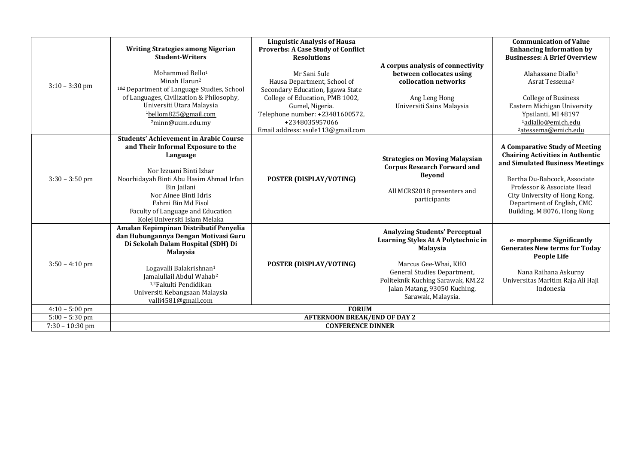| $3:10 - 3:30$ pm  | <b>Writing Strategies among Nigerian</b><br><b>Student-Writers</b><br>Mohammed Bello <sup>1</sup><br>Minah Harun <sup>2</sup><br><sup>1&amp;2</sup> Department of Language Studies, School<br>of Languages, Civilization & Philosophy,<br>Universiti Utara Malaysia<br>$1$ bellom825@gmail.com<br>2minn@uum.edu.my   | <b>Linguistic Analysis of Hausa</b><br>Proverbs: A Case Study of Conflict<br><b>Resolutions</b><br>Mr Sani Sule<br>Hausa Department, School of<br>Secondary Education, Jigawa State<br>College of Education, PMB 1002,<br>Gumel, Nigeria.<br>Telephone number: +23481600572,<br>+2348035957066<br>Email address: ssule113@gmail.com | A corpus analysis of connectivity<br>between collocates using<br>collocation networks<br>Ang Leng Hong<br>Universiti Sains Malaysia                                                                                                               | <b>Communication of Value</b><br><b>Enhancing Information by</b><br><b>Businesses: A Brief Overview</b><br>Alahassane Diallo <sup>1</sup><br>Asrat Tessema <sup>2</sup><br><b>College of Business</b><br>Eastern Michigan University<br>Ypsilanti, MI 48197<br>1adiallo@emich.edu<br><sup>2</sup> atessema@emich.edu |
|-------------------|----------------------------------------------------------------------------------------------------------------------------------------------------------------------------------------------------------------------------------------------------------------------------------------------------------------------|-------------------------------------------------------------------------------------------------------------------------------------------------------------------------------------------------------------------------------------------------------------------------------------------------------------------------------------|---------------------------------------------------------------------------------------------------------------------------------------------------------------------------------------------------------------------------------------------------|----------------------------------------------------------------------------------------------------------------------------------------------------------------------------------------------------------------------------------------------------------------------------------------------------------------------|
| $3:30 - 3:50$ pm  | <b>Students' Achievement in Arabic Course</b><br>and Their Informal Exposure to the<br>Language<br>Nor Izzuani Binti Izhar<br>Noorhidayah Binti Abu Hasim Ahmad Irfan<br>Bin Jailani<br>Nor Ainee Binti Idris<br>Fahmi Bin Md Fisol<br>Faculty of Language and Education<br>Kolej Universiti Islam Melaka            | POSTER (DISPLAY/VOTING)                                                                                                                                                                                                                                                                                                             | <b>Strategies on Moving Malaysian</b><br><b>Corpus Research Forward and</b><br><b>Bevond</b><br>All MCRS2018 presenters and<br>participants                                                                                                       | <b>A Comparative Study of Meeting</b><br><b>Chairing Activities in Authentic</b><br>and Simulated Business Meetings<br>Bertha Du-Babcock, Associate<br>Professor & Associate Head<br>City University of Hong Kong,<br>Department of English, CMC<br>Building, M 8076, Hong Kong                                      |
| $3:50 - 4:10$ pm  | Amalan Kepimpinan Distributif Penyelia<br>dan Hubungannya Dengan Motivasi Guru<br>Di Sekolah Dalam Hospital (SDH) Di<br><b>Malaysia</b><br>Logavalli Balakrishnan <sup>1</sup><br>Jamalullail Abdul Wahab <sup>2</sup><br><sup>1,2</sup> Fakulti Pendidikan<br>Universiti Kebangsaan Malaysia<br>valli4581@gmail.com | POSTER (DISPLAY/VOTING)                                                                                                                                                                                                                                                                                                             | <b>Analyzing Students' Perceptual</b><br>Learning Styles At A Polytechnic in<br><b>Malaysia</b><br>Marcus Gee-Whai, KHO<br>General Studies Department,<br>Politeknik Kuching Sarawak, KM.22<br>Jalan Matang, 93050 Kuching,<br>Sarawak, Malaysia. | e- morpheme Significantly<br><b>Generates New terms for Today</b><br><b>People Life</b><br>Nana Raihana Askurny<br>Universitas Maritim Raja Ali Haji<br>Indonesia                                                                                                                                                    |
| $4:10 - 5:00$ pm  |                                                                                                                                                                                                                                                                                                                      | <b>FORUM</b>                                                                                                                                                                                                                                                                                                                        |                                                                                                                                                                                                                                                   |                                                                                                                                                                                                                                                                                                                      |
| $5:00 - 5:30$ pm  |                                                                                                                                                                                                                                                                                                                      | <b>AFTERNOON BREAK/END OF DAY 2</b>                                                                                                                                                                                                                                                                                                 |                                                                                                                                                                                                                                                   |                                                                                                                                                                                                                                                                                                                      |
| $7:30 - 10:30$ pm |                                                                                                                                                                                                                                                                                                                      | <b>CONFERENCE DINNER</b>                                                                                                                                                                                                                                                                                                            |                                                                                                                                                                                                                                                   |                                                                                                                                                                                                                                                                                                                      |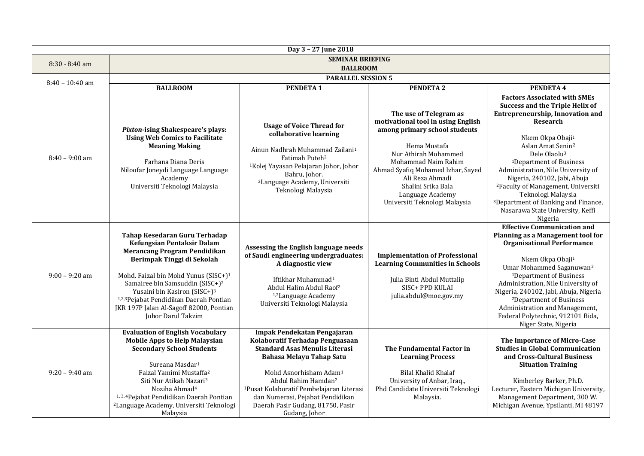|                   |                                                                                                                                                                                                                                                                                                                                                                                                    | Day 3 - 27 June 2018                                                                                                                                                                                                                                                                                                                                           |                                                                                                                                                                                                                                                                                                 |                                                                                                                                                                                                                                                                                                                                                                                                                                                                                                                   |
|-------------------|----------------------------------------------------------------------------------------------------------------------------------------------------------------------------------------------------------------------------------------------------------------------------------------------------------------------------------------------------------------------------------------------------|----------------------------------------------------------------------------------------------------------------------------------------------------------------------------------------------------------------------------------------------------------------------------------------------------------------------------------------------------------------|-------------------------------------------------------------------------------------------------------------------------------------------------------------------------------------------------------------------------------------------------------------------------------------------------|-------------------------------------------------------------------------------------------------------------------------------------------------------------------------------------------------------------------------------------------------------------------------------------------------------------------------------------------------------------------------------------------------------------------------------------------------------------------------------------------------------------------|
| $8:30 - 8:40$ am  |                                                                                                                                                                                                                                                                                                                                                                                                    | <b>SEMINAR BRIEFING</b>                                                                                                                                                                                                                                                                                                                                        |                                                                                                                                                                                                                                                                                                 |                                                                                                                                                                                                                                                                                                                                                                                                                                                                                                                   |
|                   | <b>BALLROOM</b>                                                                                                                                                                                                                                                                                                                                                                                    |                                                                                                                                                                                                                                                                                                                                                                |                                                                                                                                                                                                                                                                                                 |                                                                                                                                                                                                                                                                                                                                                                                                                                                                                                                   |
| $8:40 - 10:40$ am |                                                                                                                                                                                                                                                                                                                                                                                                    | <b>PARALLEL SESSION 5</b>                                                                                                                                                                                                                                                                                                                                      |                                                                                                                                                                                                                                                                                                 |                                                                                                                                                                                                                                                                                                                                                                                                                                                                                                                   |
|                   | <b>BALLROOM</b>                                                                                                                                                                                                                                                                                                                                                                                    | <b>PENDETA1</b>                                                                                                                                                                                                                                                                                                                                                | <b>PENDETA 2</b>                                                                                                                                                                                                                                                                                | <b>PENDETA 4</b>                                                                                                                                                                                                                                                                                                                                                                                                                                                                                                  |
| $8:40 - 9:00$ am  | <b>Pixton-ising Shakespeare's plays:</b><br><b>Using Web Comics to Facilitate</b><br><b>Meaning Making</b><br>Farhana Diana Deris<br>Niloofar Joneydi Language Language<br>Academy<br>Universiti Teknologi Malaysia                                                                                                                                                                                | <b>Usage of Voice Thread for</b><br>collaborative learning<br>Ainun Nadhrah Muhammad Zailani <sup>1</sup><br>Fatimah Puteh <sup>2</sup><br><sup>1</sup> Kolej Yayasan Pelajaran Johor, Johor<br>Bahru, Johor.<br><sup>2</sup> Language Academy, Universiti<br>Teknologi Malaysia                                                                               | The use of Telegram as<br>motivational tool in using English<br>among primary school students<br>Hema Mustafa<br>Nur Athirah Mohammed<br>Mohammad Naim Rahim<br>Ahmad Syafiq Mohamed Izhar, Sayed<br>Ali Reza Ahmadi<br>Shalini Srika Bala<br>Language Academy<br>Universiti Teknologi Malaysia | <b>Factors Associated with SMEs</b><br>Success and the Triple Helix of<br><b>Entrepreneurship, Innovation and</b><br>Research<br>Nkem Okpa Obaji <sup>1</sup><br>Aslan Amat Senin <sup>2</sup><br>Dele Olaolu <sup>3</sup><br><sup>1</sup> Department of Business<br>Administration, Nile University of<br>Nigeria, 240102, Jabi, Abuja<br><sup>2</sup> Faculty of Management, Universiti<br>Teknologi Malaysia<br><sup>3</sup> Department of Banking and Finance,<br>Nasarawa State University, Keffi<br>Nigeria |
| $9:00 - 9:20$ am  | Tahap Kesedaran Guru Terhadap<br>Kefungsian Pentaksir Dalam<br><b>Merancang Program Pendidikan</b><br>Berimpak Tinggi di Sekolah<br>Mohd. Faizal bin Mohd Yunus (SISC+) <sup>1</sup><br>Samairee bin Samsuddin (SISC+) <sup>2</sup><br>Yusaini bin Kasiron (SISC+) <sup>3</sup><br>1,2,3 Pejabat Pendidikan Daerah Pontian<br>JKR 197P Jalan Al-Sagoff 82000, Pontian<br><b>Iohor Darul Takzim</b> | Assessing the English language needs<br>of Saudi engineering undergraduates:<br>A diagnostic view<br>Iftikhar Muhammad <sup>1</sup><br>Abdul Halim Abdul Raof <sup>2</sup><br><sup>1,2</sup> Language Academy<br>Universiti Teknologi Malaysia                                                                                                                 | <b>Implementation of Professional</b><br><b>Learning Communities in Schools</b><br>Julia Binti Abdul Muttalip<br>SISC+ PPD KULAI<br>julia.abdul@moe.gov.my                                                                                                                                      | <b>Effective Communication and</b><br>Planning as a Management tool for<br><b>Organisational Performance</b><br>Nkem Okpa Obaji <sup>1</sup><br>Umar Mohammed Saganuwan <sup>2</sup><br><sup>1</sup> Department of Business<br>Administration, Nile University of<br>Nigeria, 240102, Jabi, Abuja, Nigeria<br><sup>2</sup> Department of Business<br>Administration and Management,<br>Federal Polytechnic, 912101 Bida,<br>Niger State, Nigeria                                                                  |
| $9:20 - 9:40$ am  | <b>Evaluation of English Vocabulary</b><br><b>Mobile Apps to Help Malaysian</b><br><b>Secondary School Students</b><br>Sureana Masdar <sup>1</sup><br>Faizal Yamimi Mustaffa <sup>2</sup><br>Siti Nur Atikah Nazari <sup>3</sup><br>Noziha Ahmad <sup>4</sup><br><sup>1, 3, 4</sup> Pejabat Pendidikan Daerah Pontian<br><sup>2</sup> Language Academy, Universiti Teknologi<br>Malaysia           | Impak Pendekatan Pengajaran<br>Kolaboratif Terhadap Penguasaan<br><b>Standard Asas Menulis Literasi</b><br>Bahasa Melayu Tahap Satu<br>Mohd Asnorhisham Adam <sup>1</sup><br>Abdul Rahim Hamdan <sup>2</sup><br><sup>1</sup> Pusat Kolaboratif Pembelajaran Literasi<br>dan Numerasi, Pejabat Pendidikan<br>Daerah Pasir Gudang, 81750, Pasir<br>Gudang, Johor | The Fundamental Factor in<br><b>Learning Process</b><br>Bilal Khalid Khalaf<br>University of Anbar, Iraq.,<br>Phd Candidate Universiti Teknologi<br>Malaysia.                                                                                                                                   | The Importance of Micro-Case<br><b>Studies in Global Communication</b><br>and Cross-Cultural Business<br><b>Situation Training</b><br>Kimberley Barker, Ph.D.<br>Lecturer, Eastern Michigan University,<br>Management Department, 300 W.<br>Michigan Avenue, Ypsilanti, MI 48197                                                                                                                                                                                                                                  |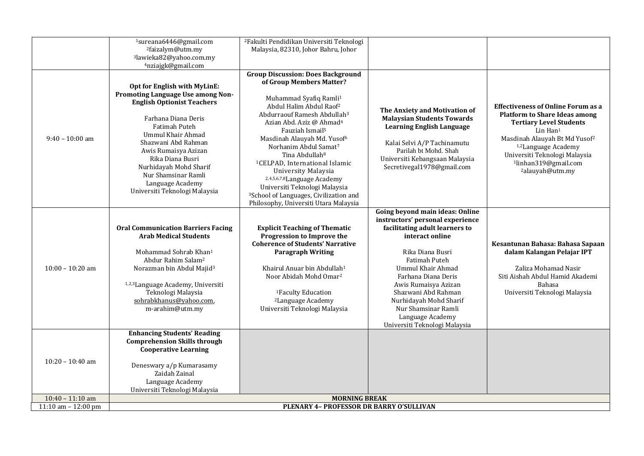|                       | <sup>1</sup> sureana6446@gmail.com<br><sup>2</sup> faizalym@utm.my<br><sup>3</sup> lawieka82@yahoo.com.my<br>4nziajgk@gmail.com                                                                                                                                                                                                              | <sup>2</sup> Fakulti Pendidikan Universiti Teknologi<br>Malaysia, 82310, Johor Bahru, Johor                                                                                                                                                                                                                                                                                                                                                                                                                                                                                                                           |                                                                                                                                                                                                                                                                                                                                                                       |                                                                                                                                                                                                                                                                                                                                 |
|-----------------------|----------------------------------------------------------------------------------------------------------------------------------------------------------------------------------------------------------------------------------------------------------------------------------------------------------------------------------------------|-----------------------------------------------------------------------------------------------------------------------------------------------------------------------------------------------------------------------------------------------------------------------------------------------------------------------------------------------------------------------------------------------------------------------------------------------------------------------------------------------------------------------------------------------------------------------------------------------------------------------|-----------------------------------------------------------------------------------------------------------------------------------------------------------------------------------------------------------------------------------------------------------------------------------------------------------------------------------------------------------------------|---------------------------------------------------------------------------------------------------------------------------------------------------------------------------------------------------------------------------------------------------------------------------------------------------------------------------------|
| $9:40 - 10:00$ am     | Opt for English with MyLinE:<br>Promoting Language Use among Non-<br><b>English Optionist Teachers</b><br>Farhana Diana Deris<br>Fatimah Puteh<br>Ummul Khair Ahmad<br>Shazwani Abd Rahman<br>Awis Rumaisya Azizan<br>Rika Diana Busri<br>Nurhidayah Mohd Sharif<br>Nur Shamsinar Ramli<br>Language Academy<br>Universiti Teknologi Malaysia | <b>Group Discussion: Does Background</b><br>of Group Members Matter?<br>Muhammad Syafiq Ramli <sup>1</sup><br>Abdul Halim Abdul Raof <sup>2</sup><br>Abdurraouf Ramesh Abdullah <sup>3</sup><br>Azian Abd. Aziz @ Ahmad <sup>4</sup><br>Fauziah Ismail <sup>5</sup><br>Masdinah Alauyah Md. Yusof <sup>6</sup><br>Norhanim Abdul Samat <sup>7</sup><br>Tina Abdullah <sup>8</sup><br><sup>1</sup> CELPAD, International Islamic<br>University Malaysia<br>2,4,5,6,7,8Language Academy<br>Universiti Teknologi Malaysia<br><sup>3</sup> School of Languages, Civilization and<br>Philosophy, Universiti Utara Malaysia | The Anxiety and Motivation of<br><b>Malaysian Students Towards</b><br><b>Learning English Language</b><br>Kalai Selvi A/P Tachinamutu<br>Parilah bt Mohd. Shah<br>Universiti Kebangsaan Malaysia<br>Secretivegal1978@gmail.com                                                                                                                                        | <b>Effectiveness of Online Forum as a</b><br><b>Platform to Share Ideas among</b><br><b>Tertiary Level Students</b><br>Lin Han <sup>1</sup><br>Masdinah Alauyah Bt Md Yusof <sup>2</sup><br><sup>1,2</sup> Language Academy<br>Universiti Teknologi Malaysia<br><sup>1</sup> linhan319@gmail.com<br><sup>2</sup> alauyah@utm.my |
| $10:00 - 10:20$ am    | <b>Oral Communication Barriers Facing</b><br><b>Arab Medical Students</b><br>Mohammad Sohrab Khan <sup>1</sup><br>Abdur Rahim Salam <sup>2</sup><br>Norazman bin Abdul Majid <sup>3</sup><br>1,2,3 Language Academy, Universiti<br>Teknologi Malaysia<br>sohrabkhanus@yahoo.com,<br>m-arahim@utm.my                                          | <b>Explicit Teaching of Thematic</b><br>Progression to Improve the<br><b>Coherence of Students' Narrative</b><br><b>Paragraph Writing</b><br>Khairul Anuar bin Abdullah <sup>1</sup><br>Noor Abidah Mohd Omar <sup>2</sup><br><sup>1</sup> Faculty Education<br><sup>2</sup> Language Academy<br>Universiti Teknologi Malaysia                                                                                                                                                                                                                                                                                        | Going beyond main ideas: Online<br>instructors' personal experience<br>facilitating adult learners to<br>interact online<br>Rika Diana Busri<br>Fatimah Puteh<br><b>Ummul Khair Ahmad</b><br>Farhana Diana Deris<br>Awis Rumaisya Azizan<br>Shazwani Abd Rahman<br>Nurhidayah Mohd Sharif<br>Nur Shamsinar Ramli<br>Language Academy<br>Universiti Teknologi Malaysia | Kesantunan Bahasa: Bahasa Sapaan<br>dalam Kalangan Pelajar IPT<br>Zaliza Mohamad Nasir<br>Siti Aishah Abdul Hamid Akademi<br>Bahasa<br>Universiti Teknologi Malaysia                                                                                                                                                            |
| $10:20 - 10:40$ am    | <b>Enhancing Students' Reading</b><br><b>Comprehension Skills through</b><br><b>Cooperative Learning</b><br>Deneswary a/p Kumarasamy<br>Zaidah Zainal<br>Language Academy<br>Universiti Teknologi Malaysia                                                                                                                                   |                                                                                                                                                                                                                                                                                                                                                                                                                                                                                                                                                                                                                       |                                                                                                                                                                                                                                                                                                                                                                       |                                                                                                                                                                                                                                                                                                                                 |
| $10:40 - 11:10$ am    |                                                                                                                                                                                                                                                                                                                                              | <b>MORNING BREAK</b>                                                                                                                                                                                                                                                                                                                                                                                                                                                                                                                                                                                                  |                                                                                                                                                                                                                                                                                                                                                                       |                                                                                                                                                                                                                                                                                                                                 |
| 11:10 am $- 12:00$ pm |                                                                                                                                                                                                                                                                                                                                              | PLENARY 4- PROFESSOR DR BARRY O'SULLIVAN                                                                                                                                                                                                                                                                                                                                                                                                                                                                                                                                                                              |                                                                                                                                                                                                                                                                                                                                                                       |                                                                                                                                                                                                                                                                                                                                 |